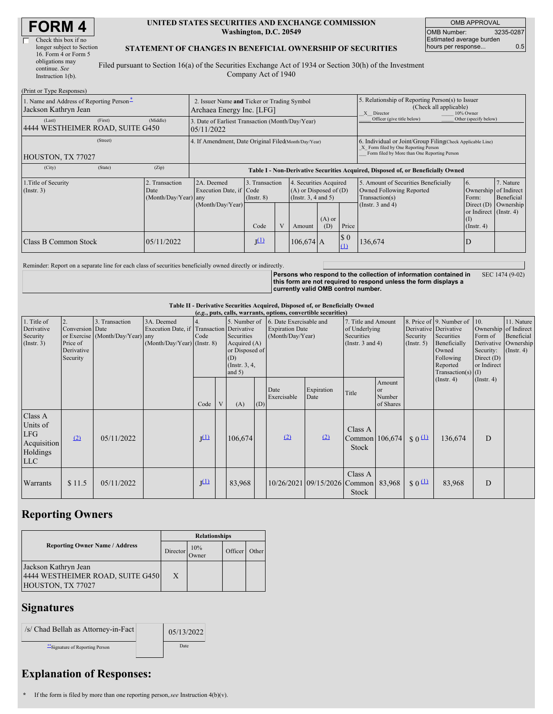| <b>FORM 4</b> |  |
|---------------|--|
|---------------|--|

| longer subject to Section |
|---------------------------|
|                           |
|                           |
|                           |
|                           |
|                           |

#### **UNITED STATES SECURITIES AND EXCHANGE COMMISSION Washington, D.C. 20549**

OMB APPROVAL OMB Number: 3235-0287 Estimated average burden hours per response... 0.5

### **STATEMENT OF CHANGES IN BENEFICIAL OWNERSHIP OF SECURITIES**

Filed pursuant to Section 16(a) of the Securities Exchange Act of 1934 or Section 30(h) of the Investment Company Act of 1940

| (Print or Type Responses)                                        |                                                |                                                                          |                                   |   |                                                                              |                 |                                                                                                                                                    |                                                                                                       |                                                                   |                         |  |  |
|------------------------------------------------------------------|------------------------------------------------|--------------------------------------------------------------------------|-----------------------------------|---|------------------------------------------------------------------------------|-----------------|----------------------------------------------------------------------------------------------------------------------------------------------------|-------------------------------------------------------------------------------------------------------|-------------------------------------------------------------------|-------------------------|--|--|
| 1. Name and Address of Reporting Person-<br>Jackson Kathryn Jean |                                                | 2. Issuer Name and Ticker or Trading Symbol<br>Archaea Energy Inc. [LFG] |                                   |   |                                                                              |                 |                                                                                                                                                    | 5. Relationship of Reporting Person(s) to Issuer<br>(Check all applicable)<br>X Director<br>10% Owner |                                                                   |                         |  |  |
| (First)<br>(Last)<br>4444 WESTHEIMER ROAD, SUITE G450            | (Middle)                                       | 3. Date of Earliest Transaction (Month/Day/Year)<br>05/11/2022           |                                   |   |                                                                              |                 |                                                                                                                                                    | Officer (give title below)                                                                            | Other (specify below)                                             |                         |  |  |
| (Street)<br>HOUSTON, TX 77027                                    |                                                | 4. If Amendment, Date Original Filed(Month/Day/Year)                     |                                   |   |                                                                              |                 | 6. Individual or Joint/Group Filing(Check Applicable Line)<br>X Form filed by One Reporting Person<br>Form filed by More than One Reporting Person |                                                                                                       |                                                                   |                         |  |  |
| (State)<br>(City)                                                | (Zip)                                          |                                                                          |                                   |   |                                                                              |                 |                                                                                                                                                    | Table I - Non-Derivative Securities Acquired, Disposed of, or Beneficially Owned                      |                                                                   |                         |  |  |
| 1. Title of Security<br>$($ Instr. 3 $)$                         | 2. Transaction<br>Date<br>(Month/Day/Year) any | 2A. Deemed<br>Execution Date, if Code                                    | 3. Transaction<br>$($ Instr. $8)$ |   | 4. Securities Acquired<br>$(A)$ or Disposed of $(D)$<br>(Insert. 3, 4 and 5) |                 |                                                                                                                                                    | 5. Amount of Securities Beneficially<br>Owned Following Reported<br>Transaction(s)                    | 6.<br>Ownership of Indirect<br>Form:                              | 7. Nature<br>Beneficial |  |  |
|                                                                  |                                                | (Month/Day/Year)                                                         | Code                              | V | Amount                                                                       | $(A)$ or<br>(D) | Price                                                                                                                                              | (Instr. $3$ and $4$ )                                                                                 | Direct $(D)$<br>or Indirect (Instr. 4)<br>(I)<br>$($ Instr. 4 $)$ | Ownership               |  |  |
| Class B Common Stock                                             | 05/11/2022                                     |                                                                          | $J^{(1)}$                         |   | $106,674$ A                                                                  |                 | $\boldsymbol{\mathsf{S}}$ 0<br>(1)                                                                                                                 | 136,674                                                                                               | D                                                                 |                         |  |  |

Reminder: Report on a separate line for each class of securities beneficially owned directly or indirectly.

**Persons who respond to the collection of information contained in this form are not required to respond unless the form displays a currently valid OMB control number.** SEC 1474 (9-02)

#### **Table II - Derivative Securities Acquired, Disposed of, or Beneficially Owned**

|                                                                     | (e.g., puts, calls, warrants, options, convertible securities) |                                                    |                                                                                        |                  |   |                                                                                                  |     |                                                                       |                                     |                                                                             |                                                |                                                                                                                                                                                  |                  |                                                                              |                                                                      |
|---------------------------------------------------------------------|----------------------------------------------------------------|----------------------------------------------------|----------------------------------------------------------------------------------------|------------------|---|--------------------------------------------------------------------------------------------------|-----|-----------------------------------------------------------------------|-------------------------------------|-----------------------------------------------------------------------------|------------------------------------------------|----------------------------------------------------------------------------------------------------------------------------------------------------------------------------------|------------------|------------------------------------------------------------------------------|----------------------------------------------------------------------|
| 1. Title of<br>Derivative<br>Security<br>(Insert. 3)                | 2.<br>Conversion Date<br>Price of<br>Derivative<br>Security    | 3. Transaction<br>or Exercise (Month/Day/Year) any | 3A. Deemed<br>Execution Date, if Transaction Derivative<br>(Month/Day/Year) (Instr. 8) | Code             |   | 5. Number of<br>Securities<br>Acquired (A)<br>or Disposed of<br>(D)<br>(Instr. 3, 4,<br>and $5)$ |     | 6. Date Exercisable and<br><b>Expiration Date</b><br>(Month/Day/Year) |                                     | 7. Title and Amount<br>of Underlying<br>Securities<br>(Instr. $3$ and $4$ ) |                                                | 8. Price of 9. Number of<br>10.<br>Derivative Derivative<br>Securities<br>Security<br>Beneficially<br>$($ Instr. 5 $)$<br>Owned<br>Following<br>Reported<br>Transaction(s) $(I)$ |                  | Ownership of Indirect<br>Form of<br>Security:<br>Direct $(D)$<br>or Indirect | 11. Nature<br>Beneficial<br>Derivative Ownership<br>$($ Instr. 4 $)$ |
|                                                                     |                                                                |                                                    |                                                                                        | Code             | V | (A)                                                                                              | (D) | Date<br>Exercisable                                                   | Expiration<br>Date                  | Title                                                                       | Amount<br><sub>or</sub><br>Number<br>of Shares |                                                                                                                                                                                  | $($ Instr. 4 $)$ | $($ Instr. 4 $)$                                                             |                                                                      |
| Class A<br>Units of<br>LFG<br>Acquisition<br>Holdings<br><b>LLC</b> | (2)                                                            | 05/11/2022                                         |                                                                                        | I <sup>(1)</sup> |   | 106,674                                                                                          |     | (2)                                                                   | (2)                                 | Class A<br>Common 106,674<br><b>Stock</b>                                   |                                                | $\sqrt{0}$                                                                                                                                                                       | 136,674          | D                                                                            |                                                                      |
| Warrants                                                            | \$11.5                                                         | 05/11/2022                                         |                                                                                        | $J^{(1)}$        |   | 83,968                                                                                           |     |                                                                       | 10/26/2021 09/15/2026 Common 83,968 | Class A<br>Stock                                                            |                                                | $$0 \underline{1}$                                                                                                                                                               | 83,968           | D                                                                            |                                                                      |

## **Reporting Owners**

|                                                                               | <b>Relationships</b> |              |         |       |  |  |  |  |
|-------------------------------------------------------------------------------|----------------------|--------------|---------|-------|--|--|--|--|
| <b>Reporting Owner Name / Address</b>                                         | Director             | 10%<br>Owner | Officer | Other |  |  |  |  |
| Jackson Kathryn Jean<br>4444 WESTHEIMER ROAD, SUITE G450<br>HOUSTON, TX 77027 | X                    |              |         |       |  |  |  |  |

### **Signatures**

| /s/ Chad Bellah as Attorney-in-Fact | 05/13/2022 |
|-------------------------------------|------------|
| ** Signature of Reporting Person    | Date       |

# **Explanation of Responses:**

**\*** If the form is filed by more than one reporting person,*see* Instruction 4(b)(v).